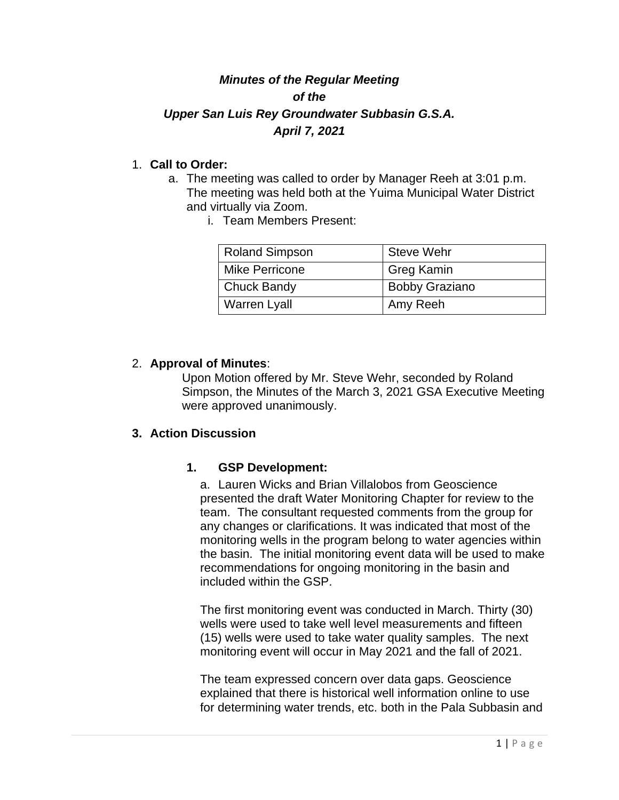# *Minutes of the Regular Meeting of the Upper San Luis Rey Groundwater Subbasin G.S.A. April 7, 2021*

### 1. **Call to Order:**

- a. The meeting was called to order by Manager Reeh at 3:01 p.m. The meeting was held both at the Yuima Municipal Water District and virtually via Zoom.
	- i. Team Members Present:

| <b>Roland Simpson</b> | Steve Wehr            |
|-----------------------|-----------------------|
| <b>Mike Perricone</b> | Greg Kamin            |
| <b>Chuck Bandy</b>    | <b>Bobby Graziano</b> |
| <b>Warren Lyall</b>   | Amy Reeh              |

#### 2. **Approval of Minutes**:

Upon Motion offered by Mr. Steve Wehr, seconded by Roland Simpson, the Minutes of the March 3, 2021 GSA Executive Meeting were approved unanimously.

#### **3. Action Discussion**

## **1. GSP Development:**

a. Lauren Wicks and Brian Villalobos from Geoscience presented the draft Water Monitoring Chapter for review to the team. The consultant requested comments from the group for any changes or clarifications. It was indicated that most of the monitoring wells in the program belong to water agencies within the basin. The initial monitoring event data will be used to make recommendations for ongoing monitoring in the basin and included within the GSP.

The first monitoring event was conducted in March. Thirty (30) wells were used to take well level measurements and fifteen (15) wells were used to take water quality samples. The next monitoring event will occur in May 2021 and the fall of 2021.

The team expressed concern over data gaps. Geoscience explained that there is historical well information online to use for determining water trends, etc. both in the Pala Subbasin and